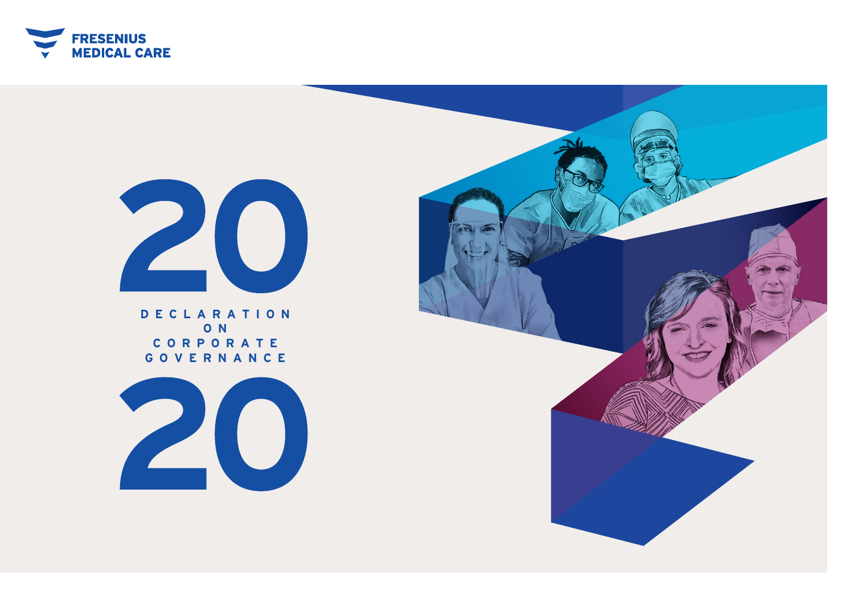



**D E C L A R A T ION O N C O R P ORATE GOVERNANCE**



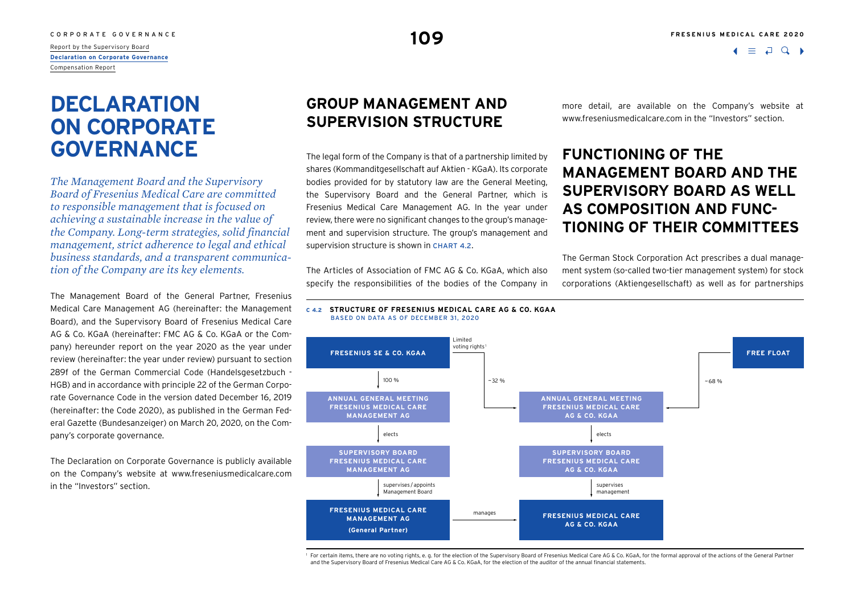# <span id="page-1-0"></span>C O R P O R A T E G O V E R N A N C E **109**<br>Report by the Supervisory Board **109**

**Declaration on Corporate Governance** Compensation Report

# **DECLARATION ON CORPORATE GOVERNANCE**

*The Management Board and the Supervisory Board of Fresenius Medical Care are committed to responsible management that is focused on achieving a sustainable increase in the value of the Company. Long-term strategies, solid financial management, strict adherence to legal and ethical business standards, and a transparent communication of the Company are its key elements.*

The Management Board of the General Partner, Fresenius Medical Care Management AG (hereinafter: the Management Board), and the Supervisory Board of Fresenius Medical Care AG & Co. KGaA (hereinafter: FMC AG & Co. KGaA or the Company) hereunder report on the year 2020 as the year under review (hereinafter: the year under review) pursuant to section 289f of the German Commercial Code (Handelsgesetzbuch - HGB) and in accordance with principle 22 of the German Corporate Governance Code in the version dated December 16, 2019 (hereinafter: the Code 2020), as published in the German Federal Gazette (Bundesanzeiger) on March 20, 2020, on the Company's corporate governance.

The Declaration on Corporate Governance is publicly available on the Company's website at [www.freseniusmedicalcare.com](http://www.freseniusmedicalcare.com)  in the "Investors" section.

## **GROUP MANAGEMENT AND SUPERVISION STRUCTURE**

The legal form of the Company is that of a partnership limited by shares (Kommanditgesellschaft auf Aktien - KGaA). Its corporate bodies provided for by statutory law are the General Meeting, the Supervisory Board and the General Partner, which is Fresenius Medical Care Management AG. In the year under review, there were no significant changes to the group's management and supervision structure. The group's management and supervision structure is shown in CHART 4.2.

The Articles of Association of FMC AG & Co. KGaA, which also specify the responsibilities of the bodies of the Company in more detail, are available on the Company's website at [www.freseniusmedicalcare.com](http://www.freseniusmedicalcare.com) in the "Investors" section.

## **FUNCTIONING OF THE MANAGEMENT BOARD AND THE SUPERVISORY BOARD AS WELL AS COMPOSITION AND FUNC-TIONING OF THEIR COMMITTEES**

The German Stock Corporation Act prescribes a dual management system (so-called two-tier management system) for stock corporations (Aktiengesellschaft) as well as for partnerships

#### **C 4.2 STRUCTURE OF FRESENIUS MEDICAL CARE AG & CO. KGAA** BASED ON DATA AS OF DECEMBER 31, 2020



1 For certain items, there are no voting rights, e. g. for the election of the Supervisory Board of Fresenius Medical Care AG & Co. KGaA, for the formal approval of the actions of the General Partner and the Supervisory Board of Fresenius Medical Care AG & Co. KGaA, for the election of the auditor of the annual financial statements.

 $\bullet \equiv \Box$  Q  $\bullet$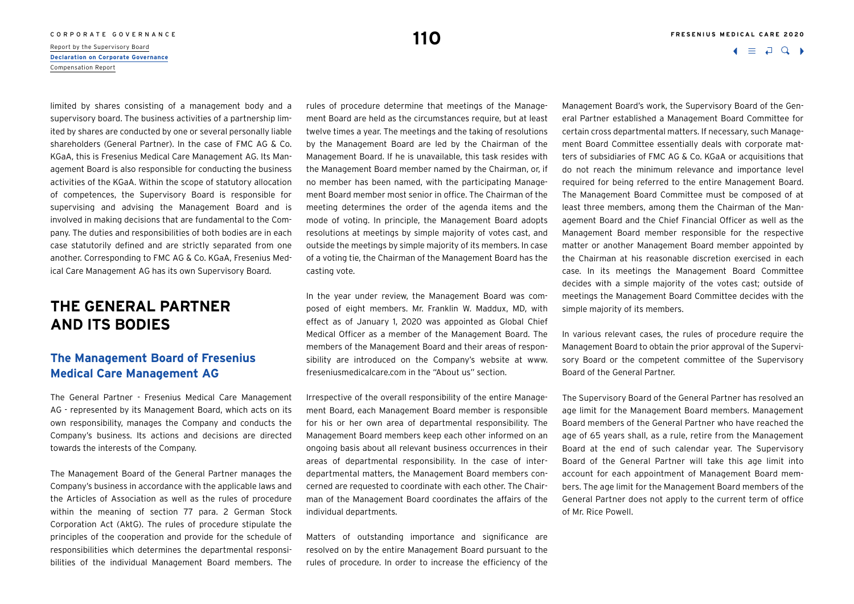# C O R P O R A T E G O V E R N A N C E **110**<br>Report by the Supervisory Board **110**

**[Declaration on Corporate Governance](#page-1-0)** Compensation Report

 $\Box$ 

limited by shares consisting of a management body and a supervisory board. The business activities of a partnership limited by shares are conducted by one or several personally liable shareholders (General Partner). In the case of FMC AG & Co. KGaA, this is Fresenius Medical Care Management AG. Its Management Board is also responsible for conducting the business activities of the KGaA. Within the scope of statutory allocation of competences, the Supervisory Board is responsible for supervising and advising the Management Board and is involved in making decisions that are fundamental to the Company. The duties and responsibilities of both bodies are in each case statutorily defined and are strictly separated from one another. Corresponding to FMC AG & Co. KGaA, Fresenius Medical Care Management AG has its own Supervisory Board.

## **THE GENERAL PARTNER AND ITS BODIES**

## **The Management Board of Fresenius Medical Care Management AG**

The General Partner - Fresenius Medical Care Management AG - represented by its Management Board, which acts on its own responsibility, manages the Company and conducts the Company's business. Its actions and decisions are directed towards the interests of the Company.

The Management Board of the General Partner manages the Company's business in accordance with the applicable laws and the Articles of Association as well as the rules of procedure within the meaning of section 77 para. 2 German Stock Corporation Act (AktG). The rules of procedure stipulate the principles of the cooperation and provide for the schedule of responsibilities which determines the departmental responsibilities of the individual Management Board members. The rules of procedure determine that meetings of the Management Board are held as the circumstances require, but at least twelve times a year. The meetings and the taking of resolutions by the Management Board are led by the Chairman of the Management Board. If he is unavailable, this task resides with the Management Board member named by the Chairman, or, if no member has been named, with the participating Management Board member most senior in office. The Chairman of the meeting determines the order of the agenda items and the mode of voting. In principle, the Management Board adopts resolutions at meetings by simple majority of votes cast, and outside the meetings by simple majority of its members. In case of a voting tie, the Chairman of the Management Board has the casting vote.

In the year under review, the Management Board was composed of eight members. Mr. Franklin W. Maddux, MD, with effect as of January 1, 2020 was appointed as Global Chief Medical Officer as a member of the Management Board. The members of the Management Board and their areas of responsibility are introduced on the Company's website at [www.](http://www.freseniusmedicalcare.com) [freseniusmedicalcare.com](http://www.freseniusmedicalcare.com) in the "About us" section.

Irrespective of the overall responsibility of the entire Management Board, each Management Board member is responsible for his or her own area of departmental responsibility. The Management Board members keep each other informed on an ongoing basis about all relevant business occurrences in their areas of departmental responsibility. In the case of interdepartmental matters, the Management Board members concerned are requested to coordinate with each other. The Chairman of the Management Board coordinates the affairs of the individual departments.

Matters of outstanding importance and significance are resolved on by the entire Management Board pursuant to the rules of procedure. In order to increase the efficiency of the

Management Board's work, the Supervisory Board of the General Partner established a Management Board Committee for certain cross departmental matters. If necessary, such Management Board Committee essentially deals with corporate matters of subsidiaries of FMC AG & Co. KGaA or acquisitions that do not reach the minimum relevance and importance level required for being referred to the entire Management Board. The Management Board Committee must be composed of at least three members, among them the Chairman of the Management Board and the Chief Financial Officer as well as the Management Board member responsible for the respective matter or another Management Board member appointed by the Chairman at his reasonable discretion exercised in each case. In its meetings the Management Board Committee decides with a simple majority of the votes cast; outside of meetings the Management Board Committee decides with the simple majority of its members.

In various relevant cases, the rules of procedure require the Management Board to obtain the prior approval of the Supervisory Board or the competent committee of the Supervisory Board of the General Partner.

The Supervisory Board of the General Partner has resolved an age limit for the Management Board members. Management Board members of the General Partner who have reached the age of 65 years shall, as a rule, retire from the Management Board at the end of such calendar year. The Supervisory Board of the General Partner will take this age limit into account for each appointment of Management Board members. The age limit for the Management Board members of the General Partner does not apply to the current term of office of Mr. Rice Powell.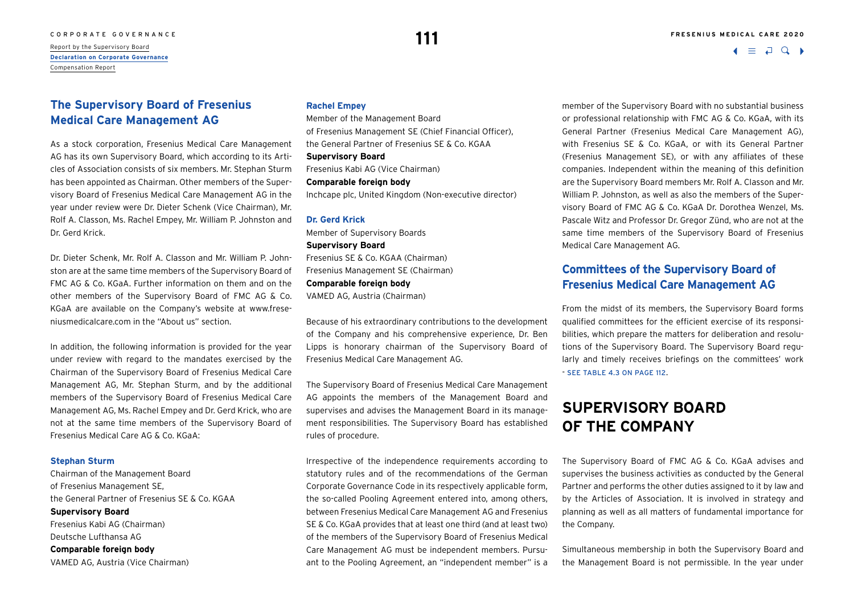## **The Supervisory Board of Fresenius Medical Care Management AG**

As a stock corporation, Fresenius Medical Care Management AG has its own Supervisory Board, which according to its Articles of Association consists of six members. Mr. Stephan Sturm has been appointed as Chairman. Other members of the Supervisory Board of Fresenius Medical Care Management AG in the year under review were Dr. Dieter Schenk (Vice Chairman), Mr. Rolf A. Classon, Ms. Rachel Empey, Mr. William P. Johnston and Dr. Gerd Krick.

Dr. Dieter Schenk, Mr. Rolf A. Classon and Mr. William P. Johnston are at the same time members of the Supervisory Board of FMC AG & Co. KGaA. Further information on them and on the other members of the Supervisory Board of FMC AG & Co. KGaA are available on the Company's website at [www.frese](http://www.freseniusmedicalcare.com)[niusmedicalcare.com](http://www.freseniusmedicalcare.com) in the "About us" section.

In addition, the following information is provided for the year under review with regard to the mandates exercised by the Chairman of the Supervisory Board of Fresenius Medical Care Management AG, Mr. Stephan Sturm, and by the additional members of the Supervisory Board of Fresenius Medical Care Management AG, Ms. Rachel Empey and Dr. Gerd Krick, who are not at the same time members of the Supervisory Board of Fresenius Medical Care AG & Co. KGaA:

#### **Stephan Sturm**

Chairman of the Management Board of Fresenius Management SE, the General Partner of Fresenius SE & Co. KGAA **Supervisory Board**  Fresenius Kabi AG (Chairman) Deutsche Lufthansa AG **Comparable foreign body** VAMED AG, Austria (Vice Chairman)

#### **Rachel Empey**

Member of the Management Board of Fresenius Management SE (Chief Financial Officer), the General Partner of Fresenius SE & Co. KGAA **Supervisory Board**  Fresenius Kabi AG (Vice Chairman) **Comparable foreign body** Inchcape plc, United Kingdom (Non-executive director)

#### **Dr. Gerd Krick**

Member of Supervisory Boards **Supervisory Board**  Fresenius SE & Co. KGAA (Chairman) Fresenius Management SE (Chairman) **Comparable foreign body** VAMED AG, Austria (Chairman)

Because of his extraordinary contributions to the development of the Company and his comprehensive experience, Dr. Ben Lipps is honorary chairman of the Supervisory Board of Fresenius Medical Care Management AG.

The Supervisory Board of Fresenius Medical Care Management AG appoints the members of the Management Board and supervises and advises the Management Board in its management responsibilities. The Supervisory Board has established rules of procedure.

Irrespective of the independence requirements according to statutory rules and of the recommendations of the German Corporate Governance Code in its respectively applicable form, the so-called Pooling Agreement entered into, among others, between Fresenius Medical Care Management AG and Fresenius SE & Co. KGaA provides that at least one third (and at least two) of the members of the Supervisory Board of Fresenius Medical Care Management AG must be independent members. Pursuant to the Pooling Agreement, an "independent member" is a

member of the Supervisory Board with no substantial business or professional relationship with FMC AG & Co. KGaA, with its General Partner (Fresenius Medical Care Management AG), with Fresenius SE & Co. KGaA, or with its General Partner (Fresenius Management SE), or with any affiliates of these companies. Independent within the meaning of this definition are the Supervisory Board members Mr. Rolf A. Classon and Mr. William P. Johnston, as well as also the members of the Supervisory Board of FMC AG & Co. KGaA Dr. Dorothea Wenzel, Ms. Pascale Witz and Professor Dr. Gregor Zünd, who are not at the same time members of the Supervisory Board of Fresenius Medical Care Management AG.

## **Committees of the Supervisory Board of Fresenius Medical Care Management AG**

From the midst of its members, the Supervisory Board forms qualified committees for the efficient exercise of its responsibilities, which prepare the matters for deliberation and resolutions of the Supervisory Board. The Supervisory Board regularly and timely receives briefings on the committees' work  $-$  SFF TABLE 4.3 ON PAGE 112.

## **SUPERVISORY BOARD OF THE COMPANY**

The Supervisory Board of FMC AG & Co. KGaA advises and supervises the business activities as conducted by the General Partner and performs the other duties assigned to it by law and by the Articles of Association. It is involved in strategy and planning as well as all matters of fundamental importance for the Company.

Simultaneous membership in both the Supervisory Board and the Management Board is not permissible. In the year under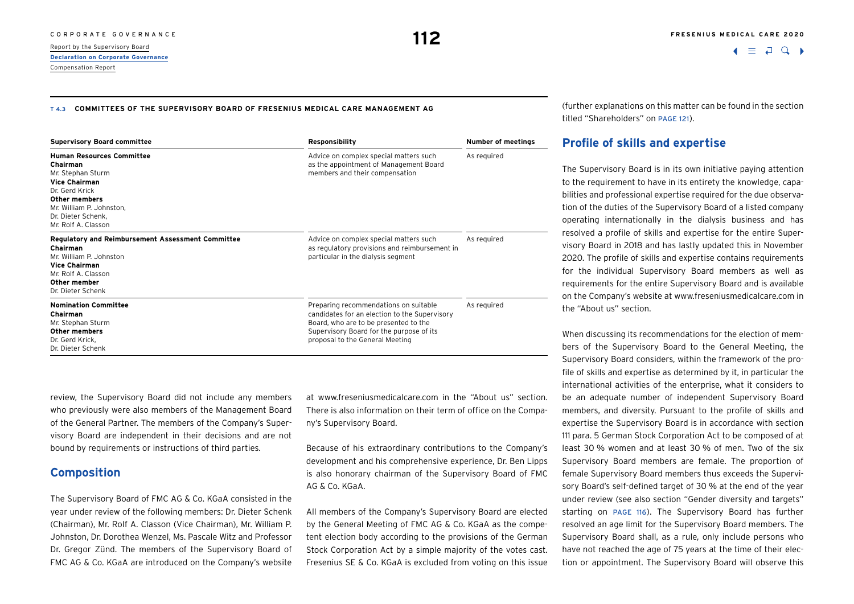#### **T 4.3 COMMITTEES OF THE SUPERVISORY BOARD OF FRESENIUS MEDICAL CARE MANAGEMENT AG**

| <b>Supervisory Board committee</b>                                                                                                                                                                    | Responsibility                                                                                                                                                                                                 | <b>Number of meetings</b> |  |
|-------------------------------------------------------------------------------------------------------------------------------------------------------------------------------------------------------|----------------------------------------------------------------------------------------------------------------------------------------------------------------------------------------------------------------|---------------------------|--|
| <b>Human Resources Committee</b><br>Chairman<br>Mr. Stephan Sturm<br><b>Vice Chairman</b><br>Dr. Gerd Krick<br>Other members<br>Mr. William P. Johnston,<br>Dr. Dieter Schenk.<br>Mr. Rolf A. Classon | Advice on complex special matters such<br>as the appointment of Management Board<br>members and their compensation                                                                                             | As required               |  |
| Regulatory and Reimbursement Assessment Committee<br>Chairman<br>Mr. William P. Johnston<br><b>Vice Chairman</b><br>Mr. Rolf A. Classon<br>Other member<br>Dr. Dieter Schenk                          | Advice on complex special matters such<br>as regulatory provisions and reimbursement in<br>particular in the dialysis segment                                                                                  | As required               |  |
| <b>Nomination Committee</b><br>Chairman<br>Mr. Stephan Sturm<br><b>Other members</b><br>Dr. Gerd Krick.<br>Dr. Dieter Schenk                                                                          | Preparing recommendations on suitable<br>candidates for an election to the Supervisory<br>Board, who are to be presented to the<br>Supervisory Board for the purpose of its<br>proposal to the General Meeting | As required               |  |

review, the Supervisory Board did not include any members who previously were also members of the Management Board of the General Partner. The members of the Company's Supervisory Board are independent in their decisions and are not bound by requirements or instructions of third parties.

### **Composition**

The Supervisory Board of FMC AG & Co. KGaA consisted in the year under review of the following members: Dr. Dieter Schenk (Chairman), Mr. Rolf A. Classon (Vice Chairman), Mr. William P. Johnston, Dr. Dorothea Wenzel, Ms. Pascale Witz and Professor Dr. Gregor Zünd. The members of the Supervisory Board of FMC AG & Co. KGaA are introduced on the Company's website at [www.freseniusmedicalcare.com](http://www.freseniusmedicalcare.com) in the "About us" section. There is also information on their term of office on the Company's Supervisory Board.

Because of his extraordinary contributions to the Company's development and his comprehensive experience, Dr. Ben Lipps is also honorary chairman of the Supervisory Board of FMC AG & Co. KGaA.

All members of the Company's Supervisory Board are elected by the General Meeting of FMC AG & Co. KGaA as the competent election body according to the provisions of the German Stock Corporation Act by a simple majority of the votes cast. Fresenius SE & Co. KGaA is excluded from voting on this issue (further explanations on this matter can be found in the section titled "Shareholders" on page 121).

### **Profile of skills and expertise**

The Supervisory Board is in its own initiative paying attention to the requirement to have in its entirety the knowledge, capabilities and professional expertise required for the due observation of the duties of the Supervisory Board of a listed company operating internationally in the dialysis business and has resolved a profile of skills and expertise for the entire Supervisory Board in 2018 and has lastly updated this in November 2020. The profile of skills and expertise contains requirements for the individual Supervisory Board members as well as requirements for the entire Supervisory Board and is available on the Company's website at [www.freseniusmedicalcare.com](http://www.freseniusmedicalcare.com) in the "About us" section.

When discussing its recommendations for the election of members of the Supervisory Board to the General Meeting, the Supervisory Board considers, within the framework of the profile of skills and expertise as determined by it, in particular the international activities of the enterprise, what it considers to be an adequate number of independent Supervisory Board members, and diversity. Pursuant to the profile of skills and expertise the Supervisory Board is in accordance with section 111 para. 5 German Stock Corporation Act to be composed of at least 30 % women and at least 30 % of men. Two of the six Supervisory Board members are female. The proportion of female Supervisory Board members thus exceeds the Supervisory Board's self-defined target of 30 % at the end of the year under review (see also section "Gender diversity and targets" starting on page 116). The Supervisory Board has further resolved an age limit for the Supervisory Board members. The Supervisory Board shall, as a rule, only include persons who have not reached the age of 75 years at the time of their election or appointment. The Supervisory Board will observe this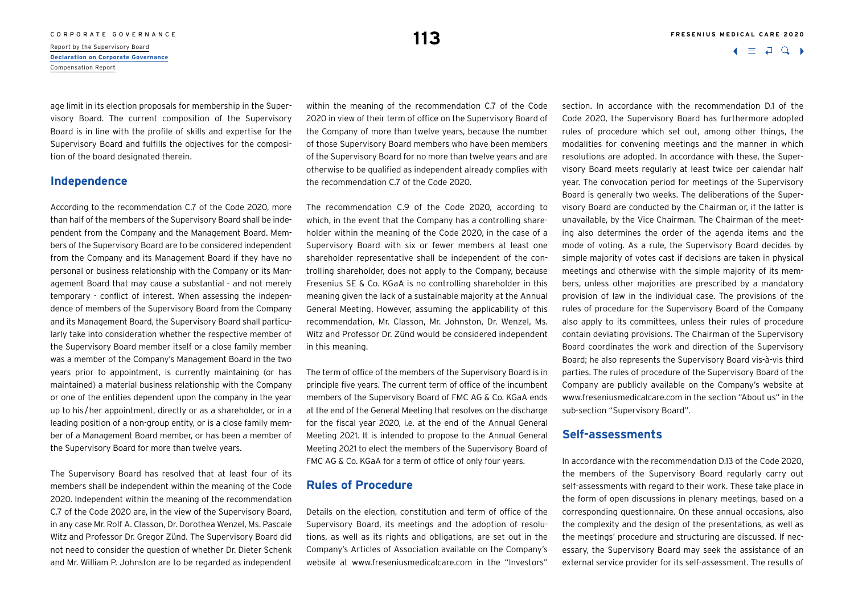# C O R P O R A T E G O V E R N A N C E **113**<br>Report by the Supervisory Board **113**

**[Declaration on Corporate Governance](#page-1-0)** Compensation Report

age limit in its election proposals for membership in the Supervisory Board. The current composition of the Supervisory Board is in line with the profile of skills and expertise for the Supervisory Board and fulfills the objectives for the composition of the board designated therein.

### **Independence**

According to the recommendation C.7 of the Code 2020, more than half of the members of the Supervisory Board shall be independent from the Company and the Management Board. Members of the Supervisory Board are to be considered independent from the Company and its Management Board if they have no personal or business relationship with the Company or its Management Board that may cause a substantial - and not merely temporary - conflict of interest. When assessing the independence of members of the Supervisory Board from the Company and its Management Board, the Supervisory Board shall particularly take into consideration whether the respective member of the Supervisory Board member itself or a close family member was a member of the Company's Management Board in the two years prior to appointment, is currently maintaining (or has maintained) a material business relationship with the Company or one of the entities dependent upon the company in the year up to his/her appointment, directly or as a shareholder, or in a leading position of a non-group entity, or is a close family member of a Management Board member, or has been a member of the Supervisory Board for more than twelve years.

The Supervisory Board has resolved that at least four of its members shall be independent within the meaning of the Code 2020. Independent within the meaning of the recommendation C.7 of the Code 2020 are, in the view of the Supervisory Board, in any case Mr. Rolf A. Classon, Dr. Dorothea Wenzel, Ms. Pascale Witz and Professor Dr. Gregor Zünd. The Supervisory Board did not need to consider the question of whether Dr. Dieter Schenk and Mr. William P. Johnston are to be regarded as independent

within the meaning of the recommendation C.7 of the Code 2020 in view of their term of office on the Supervisory Board of the Company of more than twelve years, because the number of those Supervisory Board members who have been members of the Supervisory Board for no more than twelve years and are otherwise to be qualified as independent already complies with the recommendation C.7 of the Code 2020.

The recommendation C.9 of the Code 2020, according to which, in the event that the Company has a controlling shareholder within the meaning of the Code 2020, in the case of a Supervisory Board with six or fewer members at least one shareholder representative shall be independent of the controlling shareholder, does not apply to the Company, because Fresenius SE & Co. KGaA is no controlling shareholder in this meaning given the lack of a sustainable majority at the Annual General Meeting. However, assuming the applicability of this recommendation, Mr. Classon, Mr. Johnston, Dr. Wenzel, Ms. Witz and Professor Dr. Zünd would be considered independent in this meaning.

The term of office of the members of the Supervisory Board is in principle five years. The current term of office of the incumbent members of the Supervisory Board of FMC AG & Co. KGaA ends at the end of the General Meeting that resolves on the discharge for the fiscal year 2020, i.e. at the end of the Annual General Meeting 2021. It is intended to propose to the Annual General Meeting 2021 to elect the members of the Supervisory Board of FMC AG & Co. KGaA for a term of office of only four years.

### **Rules of Procedure**

Details on the election, constitution and term of office of the Supervisory Board, its meetings and the adoption of resolutions, as well as its rights and obligations, are set out in the Company's Articles of Association available on the Company's website at [www.freseniusmedicalcare.com](http://www.freseniusmedicalcare.com) in the "Investors"

section. In accordance with the recommendation D.1 of the Code 2020, the Supervisory Board has furthermore adopted rules of procedure which set out, among other things, the modalities for convening meetings and the manner in which resolutions are adopted. In accordance with these, the Supervisory Board meets regularly at least twice per calendar half year. The convocation period for meetings of the Supervisory Board is generally two weeks. The deliberations of the Supervisory Board are conducted by the Chairman or, if the latter is unavailable, by the Vice Chairman. The Chairman of the meeting also determines the order of the agenda items and the mode of voting. As a rule, the Supervisory Board decides by simple majority of votes cast if decisions are taken in physical meetings and otherwise with the simple majority of its members, unless other majorities are prescribed by a mandatory provision of law in the individual case. The provisions of the rules of procedure for the Supervisory Board of the Company also apply to its committees, unless their rules of procedure contain deviating provisions. The Chairman of the Supervisory Board coordinates the work and direction of the Supervisory Board; he also represents the Supervisory Board vis-à-vis third parties. The rules of procedure of the Supervisory Board of the Company are publicly available on the Company's website at [www.freseniusmedicalcare.com](http://www.freseniusmedicalcare.com) in the section "About us" in the sub-section "Supervisory Board".

### **Self-assessments**

In accordance with the recommendation D.13 of the Code 2020, the members of the Supervisory Board regularly carry out self-assessments with regard to their work. These take place in the form of open discussions in plenary meetings, based on a corresponding questionnaire. On these annual occasions, also the complexity and the design of the presentations, as well as the meetings' procedure and structuring are discussed. If necessary, the Supervisory Board may seek the assistance of an external service provider for its self-assessment. The results of

 $\Box$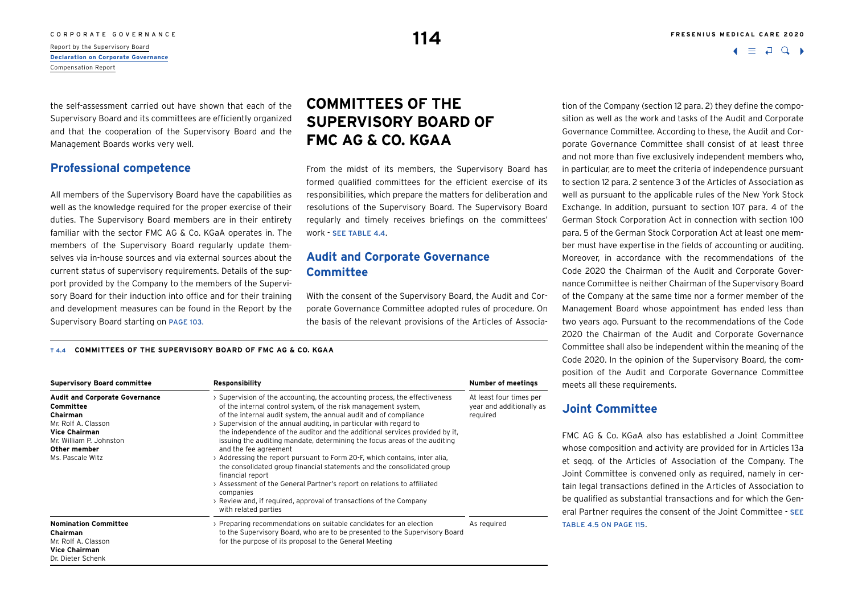the self-assessment carried out have shown that each of the Supervisory Board and its committees are efficiently organized and that the cooperation of the Supervisory Board and the Management Boards works very well.

### **Professional competence**

All members of the Supervisory Board have the capabilities as well as the knowledge required for the proper exercise of their duties. The Supervisory Board members are in their entirety familiar with the sector FMC AG & Co. KGaA operates in. The members of the Supervisory Board regularly update themselves via in-house sources and via external sources about the current status of supervisory requirements. Details of the support provided by the Company to the members of the Supervisory Board for their induction into office and for their training and development measures can be found in the Report by the Supervisory Board starting on page 103.

## **COMMITTEES OF THE SUPERVISORY BOARD OF FMC AG & CO. KGAA**

From the midst of its members, the Supervisory Board has formed qualified committees for the efficient exercise of its responsibilities, which prepare the matters for deliberation and resolutions of the Supervisory Board. The Supervisory Board regularly and timely receives briefings on the committees' work - see table 4.4.

## **Audit and Corporate Governance Committee**

With the consent of the Supervisory Board, the Audit and Corporate Governance Committee adopted rules of procedure. On the basis of the relevant provisions of the Articles of Associa-

#### **T 4.4 COMMITTEES OF THE SUPERVISORY BOARD OF FMC AG & CO. KGAA**

| <b>Supervisory Board committee</b>                                                                                                                                           | Responsibility                                                                                                                                                                                                                                                                                                                                                                                                                                                                                                                                                                                                                                                                                                                                                                                                                                | Number of meetings                                              |  |
|------------------------------------------------------------------------------------------------------------------------------------------------------------------------------|-----------------------------------------------------------------------------------------------------------------------------------------------------------------------------------------------------------------------------------------------------------------------------------------------------------------------------------------------------------------------------------------------------------------------------------------------------------------------------------------------------------------------------------------------------------------------------------------------------------------------------------------------------------------------------------------------------------------------------------------------------------------------------------------------------------------------------------------------|-----------------------------------------------------------------|--|
| <b>Audit and Corporate Governance</b><br>Committee<br>Chairman<br>Mr. Rolf A. Classon<br><b>Vice Chairman</b><br>Mr. William P. Johnston<br>Other member<br>Ms. Pascale Witz | > Supervision of the accounting, the accounting process, the effectiveness<br>of the internal control system, of the risk management system,<br>of the internal audit system, the annual audit and of compliance<br>> Supervision of the annual auditing, in particular with regard to<br>the independence of the auditor and the additional services provided by it.<br>issuing the auditing mandate, determining the focus areas of the auditing<br>and the fee agreement<br>> Addressing the report pursuant to Form 20-F, which contains, inter alia,<br>the consolidated group financial statements and the consolidated group<br>financial report<br>> Assessment of the General Partner's report on relations to affiliated<br>companies<br>> Review and, if required, approval of transactions of the Company<br>with related parties | At least four times per<br>year and additionally as<br>required |  |
| <b>Nomination Committee</b><br>Chairman<br>Mr. Rolf A. Classon<br><b>Vice Chairman</b><br>Dr. Dieter Schenk                                                                  | > Preparing recommendations on suitable candidates for an election<br>to the Supervisory Board, who are to be presented to the Supervisory Board<br>for the purpose of its proposal to the General Meeting                                                                                                                                                                                                                                                                                                                                                                                                                                                                                                                                                                                                                                    | As reguired                                                     |  |

#### CORPORATE GOVERNANCE **FRESENIUS MEDICAL CARE 2020**

 $\Box$ 

tion of the Company (section 12 para. 2) they define the composition as well as the work and tasks of the Audit and Corporate Governance Committee. According to these, the Audit and Corporate Governance Committee shall consist of at least three and not more than five exclusively independent members who, in particular, are to meet the criteria of independence pursuant to section 12 para. 2 sentence 3 of the Articles of Association as well as pursuant to the applicable rules of the New York Stock Exchange. In addition, pursuant to section 107 para. 4 of the German Stock Corporation Act in connection with section 100 para. 5 of the German Stock Corporation Act at least one member must have expertise in the fields of accounting or auditing. Moreover, in accordance with the recommendations of the Code 2020 the Chairman of the Audit and Corporate Governance Committee is neither Chairman of the Supervisory Board of the Company at the same time nor a former member of the Management Board whose appointment has ended less than two years ago. Pursuant to the recommendations of the Code 2020 the Chairman of the Audit and Corporate Governance Committee shall also be independent within the meaning of the Code 2020. In the opinion of the Supervisory Board, the composition of the Audit and Corporate Governance Committee meets all these requirements.

### **Joint Committee**

FMC AG & Co. KGaA also has established a Joint Committee whose composition and activity are provided for in Articles 13a et seqq. of the Articles of Association of the Company. The Joint Committee is convened only as required, namely in certain legal transactions defined in the Articles of Association to be qualified as substantial transactions and for which the General Partner requires the consent of the Joint Committee - see table 4.5 on page 115.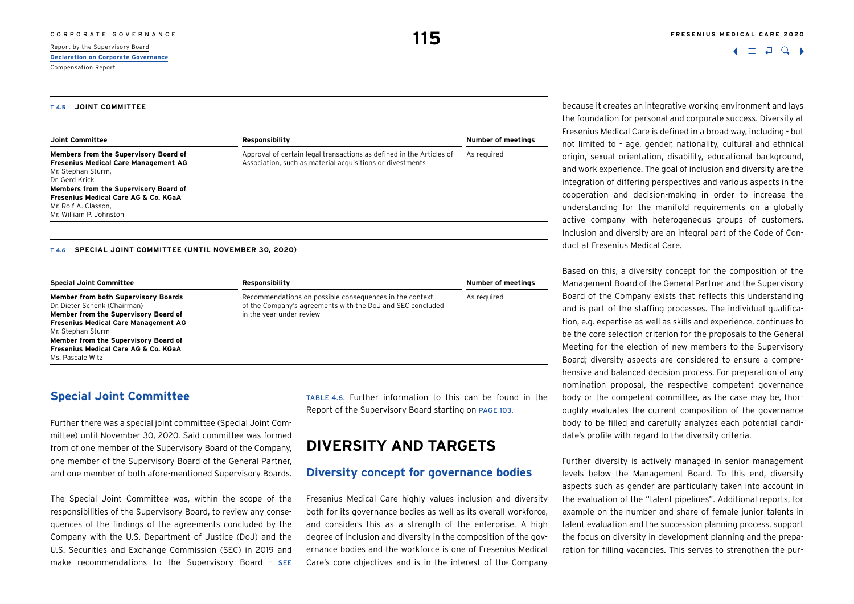#### **T 4.5 JOINT COMMITTEE**

| Joint Committee                                                                                                                                                                                                                                                             | Responsibility                                                                                                                    | Number of meetings |
|-----------------------------------------------------------------------------------------------------------------------------------------------------------------------------------------------------------------------------------------------------------------------------|-----------------------------------------------------------------------------------------------------------------------------------|--------------------|
| Members from the Supervisory Board of<br><b>Fresenius Medical Care Management AG</b><br>Mr. Stephan Sturm,<br>Dr. Gerd Krick<br>Members from the Supervisory Board of<br><b>Fresenius Medical Care AG &amp; Co. KGaA</b><br>Mr. Rolf A. Classon.<br>Mr. William P. Johnston | Approval of certain legal transactions as defined in the Articles of<br>Association, such as material acquisitions or divestments | As required        |

#### **T 4.6 SPECIAL JOINT COMMITTEE (UNTIL NOVEMBER 30, 2020)**

| <b>Special Joint Committee</b>                                                                                                                                                                                                                                                                        | Responsibility                                                                                                                                    | <b>Number of meetings</b> |  |
|-------------------------------------------------------------------------------------------------------------------------------------------------------------------------------------------------------------------------------------------------------------------------------------------------------|---------------------------------------------------------------------------------------------------------------------------------------------------|---------------------------|--|
| <b>Member from both Supervisory Boards</b><br>Dr. Dieter Schenk (Chairman)<br>Member from the Supervisory Board of<br><b>Fresenius Medical Care Management AG</b><br>Mr. Stephan Sturm<br>Member from the Supervisory Board of<br><b>Fresenius Medical Care AG &amp; Co. KGaA</b><br>Ms. Pascale Witz | Recommendations on possible consequences in the context<br>of the Company's agreements with the DoJ and SEC concluded<br>in the year under review | As required               |  |

### **Special Joint Committee**

Further there was a special joint committee (Special Joint Committee) until November 30, 2020. Said committee was formed from of one member of the Supervisory Board of the Company, one member of the Supervisory Board of the General Partner, and one member of both afore-mentioned Supervisory Boards.

The Special Joint Committee was, within the scope of the responsibilities of the Supervisory Board, to review any consequences of the findings of the agreements concluded by the Company with the U.S. Department of Justice (DoJ) and the U.S. Securities and Exchange Commission (SEC) in 2019 and make recommendations to the Supervisory Board - SEE

table 4.6. Further information to this can be found in the Report of the Supervisory Board starting on page 103.

## **DIVERSITY AND TARGETS**

### **Diversity concept for governance bodies**

Fresenius Medical Care highly values inclusion and diversity both for its governance bodies as well as its overall workforce, and considers this as a strength of the enterprise. A high degree of inclusion and diversity in the composition of the governance bodies and the workforce is one of Fresenius Medical Care's core objectives and is in the interest of the Company because it creates an integrative working environment and lays the foundation for personal and corporate success. Diversity at Fresenius Medical Care is defined in a broad way, including - but not limited to - age, gender, nationality, cultural and ethnical origin, sexual orientation, disability, educational background, and work experience. The goal of inclusion and diversity are the integration of differing perspectives and various aspects in the cooperation and decision-making in order to increase the understanding for the manifold requirements on a globally active company with heterogeneous groups of customers. Inclusion and diversity are an integral part of the Code of Conduct at Fresenius Medical Care.

Based on this, a diversity concept for the composition of the Management Board of the General Partner and the Supervisory Board of the Company exists that reflects this understanding and is part of the staffing processes. The individual qualification, e.g. expertise as well as skills and experience, continues to be the core selection criterion for the proposals to the General Meeting for the election of new members to the Supervisory Board; diversity aspects are considered to ensure a comprehensive and balanced decision process. For preparation of any nomination proposal, the respective competent governance body or the competent committee, as the case may be, thoroughly evaluates the current composition of the governance body to be filled and carefully analyzes each potential candidate's profile with regard to the diversity criteria.

Further diversity is actively managed in senior management levels below the Management Board. To this end, diversity aspects such as gender are particularly taken into account in the evaluation of the "talent pipelines". Additional reports, for example on the number and share of female junior talents in talent evaluation and the succession planning process, support the focus on diversity in development planning and the preparation for filling vacancies. This serves to strengthen the pur-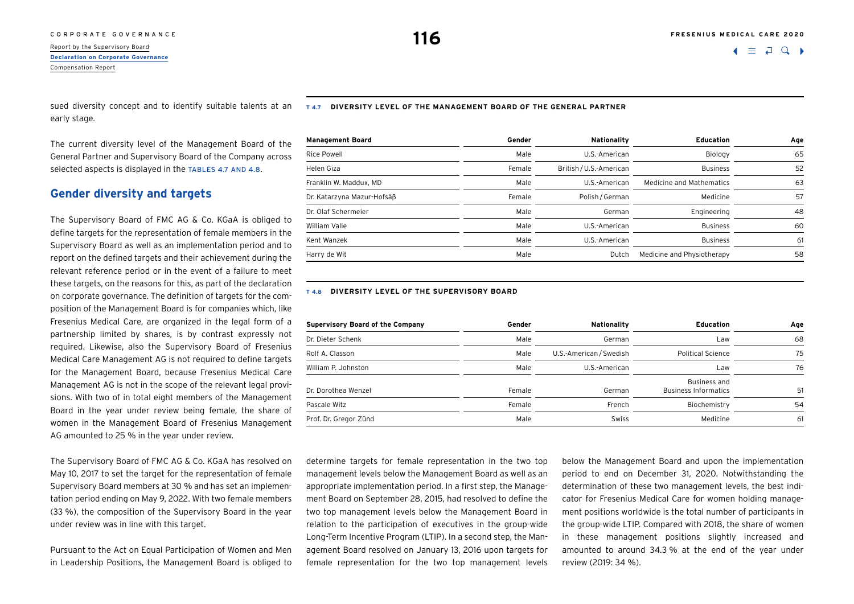# C O R P O R A T E G O V E R N A N C E **116**<br>Report by the Supervisory Board **116**

**[Declaration on Corporate Governance](#page-1-0)** Compensation Report

early stage.

The current diversity level of the Management Board of the General Partner and Supervisory Board of the Company across selected aspects is displayed in the TABLES 4.7 AND 4.8.

### **Gender diversity and targets**

The Supervisory Board of FMC AG & Co. KGaA is obliged to define targets for the representation of female members in the Supervisory Board as well as an implementation period and to report on the defined targets and their achievement during the relevant reference period or in the event of a failure to meet these targets, on the reasons for this, as part of the declaration on corporate governance. The definition of targets for the composition of the Management Board is for companies which, like Fresenius Medical Care, are organized in the legal form of a partnership limited by shares, is by contrast expressly not required. Likewise, also the Supervisory Board of Fresenius Medical Care Management AG is not required to define targets for the Management Board, because Fresenius Medical Care Management AG is not in the scope of the relevant legal provisions. With two of in total eight members of the Management Board in the year under review being female, the share of women in the Management Board of Fresenius Management AG amounted to 25 % in the year under review.

The Supervisory Board of FMC AG & Co. KGaA has resolved on May 10, 2017 to set the target for the representation of female Supervisory Board members at 30 % and has set an implementation period ending on May 9, 2022. With two female members (33 %), the composition of the Supervisory Board in the year under review was in line with this target.

Pursuant to the Act on Equal Participation of Women and Men in Leadership Positions, the Management Board is obliged to

sued diversity concept and to identify suitable talents at an **T 4.7 DIVERSITY LEVEL OF THE MANAGEMENT BOARD OF THE GENERAL PARTNER**

| <b>Management Board</b>    | Gender | Nationality             | <b>Education</b>           | Age |
|----------------------------|--------|-------------------------|----------------------------|-----|
| <b>Rice Powell</b>         | Male   | U.S.-American           | Biology                    | 65  |
| Helen Giza                 | Female | British / U.S.-American | <b>Business</b>            | 52  |
| Franklin W. Maddux, MD     | Male   | U.S.-American           | Medicine and Mathematics   | 63  |
| Dr. Katarzyna Mazur-Hofsäß | Female | Polish / German         | Medicine                   | 57  |
| Dr. Olaf Schermeier        | Male   | German                  | Engineering                | 48  |
| William Valle              | Male   | U.S.-American           | <b>Business</b>            | 60  |
| Kent Wanzek                | Male   | U.S.-American           | <b>Business</b>            | 61  |
| Harry de Wit               | Male   | Dutch                   | Medicine and Physiotherapy | 58  |

#### **T 4.8 DIVERSITY LEVEL OF THE SUPERVISORY BOARD**

| <b>Supervisory Board of the Company</b> | Gender | Nationality             | <b>Education</b>                            | Age |
|-----------------------------------------|--------|-------------------------|---------------------------------------------|-----|
| Dr. Dieter Schenk                       | Male   | German                  | Law                                         | 68  |
| Rolf A. Classon                         | Male   | U.S.-American / Swedish | <b>Political Science</b>                    | 75  |
| William P. Johnston                     | Male   | U.S.-American           | Law                                         | 76  |
| Dr. Dorothea Wenzel                     | Female | German                  | Business and<br><b>Business Informatics</b> | 51  |
| Pascale Witz                            | Female | French                  | Biochemistry                                | 54  |
| Prof. Dr. Gregor Zünd                   | Male   | Swiss                   | Medicine                                    | -61 |

determine targets for female representation in the two top management levels below the Management Board as well as an appropriate implementation period. In a first step, the Management Board on September 28, 2015, had resolved to define the two top management levels below the Management Board in relation to the participation of executives in the group-wide Long-Term Incentive Program (LTIP). In a second step, the Management Board resolved on January 13, 2016 upon targets for female representation for the two top management levels below the Management Board and upon the implementation period to end on December 31, 2020. Notwithstanding the determination of these two management levels, the best indicator for Fresenius Medical Care for women holding management positions worldwide is the total number of participants in the group-wide LTIP. Compared with 2018, the share of women in these management positions slightly increased and amounted to around 34.3 % at the end of the year under review (2019: 34 %).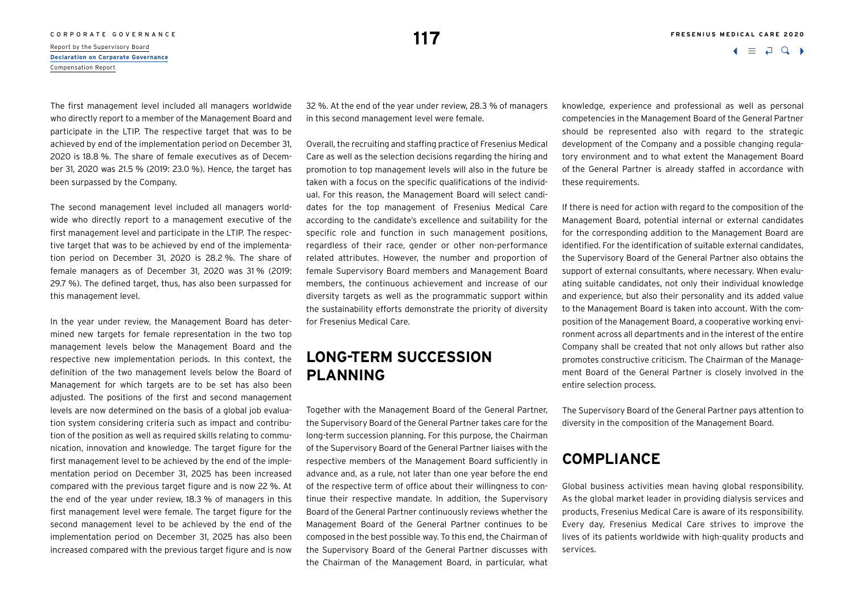**117**

 $\Box$ 

The first management level included all managers worldwide who directly report to a member of the Management Board and participate in the LTIP. The respective target that was to be achieved by end of the implementation period on December 31, 2020 is 18.8 %. The share of female executives as of December 31, 2020 was 21.5 % (2019: 23.0 %). Hence, the target has been surpassed by the Company.

The second management level included all managers worldwide who directly report to a management executive of the first management level and participate in the LTIP. The respective target that was to be achieved by end of the implementation period on December 31, 2020 is 28.2 %. The share of female managers as of December 31, 2020 was 31 % (2019: 29.7 %). The defined target, thus, has also been surpassed for this management level.

In the year under review, the Management Board has determined new targets for female representation in the two top management levels below the Management Board and the respective new implementation periods. In this context, the definition of the two management levels below the Board of Management for which targets are to be set has also been adjusted. The positions of the first and second management levels are now determined on the basis of a global job evaluation system considering criteria such as impact and contribution of the position as well as required skills relating to communication, innovation and knowledge. The target figure for the first management level to be achieved by the end of the implementation period on December 31, 2025 has been increased compared with the previous target figure and is now 22 %. At the end of the year under review, 18.3 % of managers in this first management level were female. The target figure for the second management level to be achieved by the end of the implementation period on December 31, 2025 has also been increased compared with the previous target figure and is now

32 %. At the end of the year under review, 28.3 % of managers in this second management level were female.

Overall, the recruiting and staffing practice of Fresenius Medical Care as well as the selection decisions regarding the hiring and promotion to top management levels will also in the future be taken with a focus on the specific qualifications of the individual. For this reason, the Management Board will select candidates for the top management of Fresenius Medical Care according to the candidate's excellence and suitability for the specific role and function in such management positions, regardless of their race, gender or other non-performance related attributes. However, the number and proportion of female Supervisory Board members and Management Board members, the continuous achievement and increase of our diversity targets as well as the programmatic support within the sustainability efforts demonstrate the priority of diversity for Fresenius Medical Care.

## **LONG-TERM SUCCESSION PLANNING**

Together with the Management Board of the General Partner, the Supervisory Board of the General Partner takes care for the long-term succession planning. For this purpose, the Chairman of the Supervisory Board of the General Partner liaises with the respective members of the Management Board sufficiently in advance and, as a rule, not later than one year before the end of the respective term of office about their willingness to continue their respective mandate. In addition, the Supervisory Board of the General Partner continuously reviews whether the Management Board of the General Partner continues to be composed in the best possible way. To this end, the Chairman of the Supervisory Board of the General Partner discusses with the Chairman of the Management Board, in particular, what knowledge, experience and professional as well as personal competencies in the Management Board of the General Partner should be represented also with regard to the strategic development of the Company and a possible changing regulatory environment and to what extent the Management Board of the General Partner is already staffed in accordance with these requirements.

If there is need for action with regard to the composition of the Management Board, potential internal or external candidates for the corresponding addition to the Management Board are identified. For the identification of suitable external candidates, the Supervisory Board of the General Partner also obtains the support of external consultants, where necessary. When evaluating suitable candidates, not only their individual knowledge and experience, but also their personality and its added value to the Management Board is taken into account. With the composition of the Management Board, a cooperative working environment across all departments and in the interest of the entire Company shall be created that not only allows but rather also promotes constructive criticism. The Chairman of the Management Board of the General Partner is closely involved in the entire selection process.

The Supervisory Board of the General Partner pays attention to diversity in the composition of the Management Board.

## **COMPLIANCE**

Global business activities mean having global responsibility. As the global market leader in providing dialysis services and products, Fresenius Medical Care is aware of its responsibility. Every day, Fresenius Medical Care strives to improve the lives of its patients worldwide with high-quality products and services.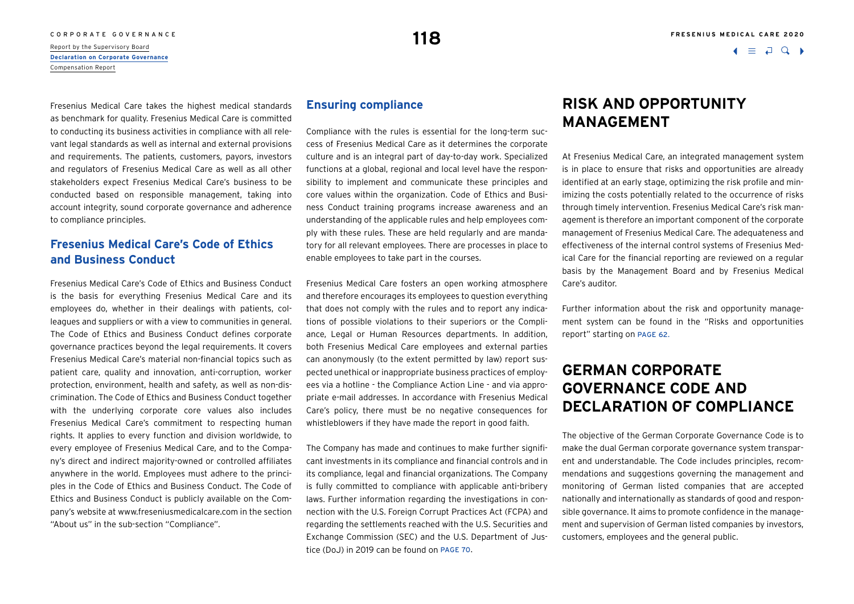# C O R P O R A T E G O V E R N A N C E **12 Report by the Supervisory Board 118**<br>Report by the Supervisory Board **118**

**[Declaration on Corporate Governance](#page-1-0)** Compensation Report

Fresenius Medical Care takes the highest medical standards as benchmark for quality. Fresenius Medical Care is committed to conducting its business activities in compliance with all relevant legal standards as well as internal and external provisions and requirements. The patients, customers, payors, investors and regulators of Fresenius Medical Care as well as all other stakeholders expect Fresenius Medical Care's business to be

## conducted based on responsible management, taking into account integrity, sound corporate governance and adherence to compliance principles.

## **Fresenius Medical Care's Code of Ethics and Business Conduct**

Fresenius Medical Care's Code of Ethics and Business Conduct is the basis for everything Fresenius Medical Care and its employees do, whether in their dealings with patients, colleagues and suppliers or with a view to communities in general. The Code of Ethics and Business Conduct defines corporate governance practices beyond the legal requirements. It covers Fresenius Medical Care's material non-financial topics such as patient care, quality and innovation, anti-corruption, worker protection, environment, health and safety, as well as non-discrimination. The Code of Ethics and Business Conduct together with the underlying corporate core values also includes Fresenius Medical Care's commitment to respecting human rights. It applies to every function and division worldwide, to every employee of Fresenius Medical Care, and to the Company's direct and indirect majority-owned or controlled affiliates anywhere in the world. Employees must adhere to the principles in the Code of Ethics and Business Conduct. The Code of Ethics and Business Conduct is publicly available on the Company's website at [www.freseniusmedicalcare.com](http://www.freseniusmedicalcare.com) in the section "About us" in the sub-section "Compliance".

### **Ensuring compliance**

Compliance with the rules is essential for the long-term success of Fresenius Medical Care as it determines the corporate culture and is an integral part of day-to-day work. Specialized functions at a global, regional and local level have the responsibility to implement and communicate these principles and core values within the organization. Code of Ethics and Business Conduct training programs increase awareness and an understanding of the applicable rules and help employees comply with these rules. These are held regularly and are mandatory for all relevant employees. There are processes in place to enable employees to take part in the courses.

Fresenius Medical Care fosters an open working atmosphere and therefore encourages its employees to question everything that does not comply with the rules and to report any indications of possible violations to their superiors or the Compliance, Legal or Human Resources departments. In addition, both Fresenius Medical Care employees and external parties can anonymously (to the extent permitted by law) report suspected unethical or inappropriate business practices of employees via a hotline - the Compliance Action Line - and via appropriate e-mail addresses. In accordance with Fresenius Medical Care's policy, there must be no negative consequences for whistleblowers if they have made the report in good faith.

The Company has made and continues to make further significant investments in its compliance and financial controls and in its compliance, legal and financial organizations. The Company is fully committed to compliance with applicable anti-bribery laws. Further information regarding the investigations in connection with the U.S. Foreign Corrupt Practices Act (FCPA) and regarding the settlements reached with the U.S. Securities and Exchange Commission (SEC) and the U.S. Department of Justice (DoJ) in 2019 can be found on page 70.

 $\Box$ 

## **RISK AND OPPORTUNITY MANAGEMENT**

At Fresenius Medical Care, an integrated management system is in place to ensure that risks and opportunities are already identified at an early stage, optimizing the risk profile and minimizing the costs potentially related to the occurrence of risks through timely intervention. Fresenius Medical Care's risk management is therefore an important component of the corporate management of Fresenius Medical Care. The adequateness and effectiveness of the internal control systems of Fresenius Medical Care for the financial reporting are reviewed on a regular basis by the Management Board and by Fresenius Medical Care's auditor.

Further information about the risk and opportunity management system can be found in the "Risks and opportunities report" starting on page 62.

## **GERMAN CORPORATE GOVERNANCE CODE AND DECLARATION OF COMPLIANCE**

The objective of the German Corporate Governance Code is to make the dual German corporate governance system transparent and understandable. The Code includes principles, recommendations and suggestions governing the management and monitoring of German listed companies that are accepted nationally and internationally as standards of good and responsible governance. It aims to promote confidence in the management and supervision of German listed companies by investors, customers, employees and the general public.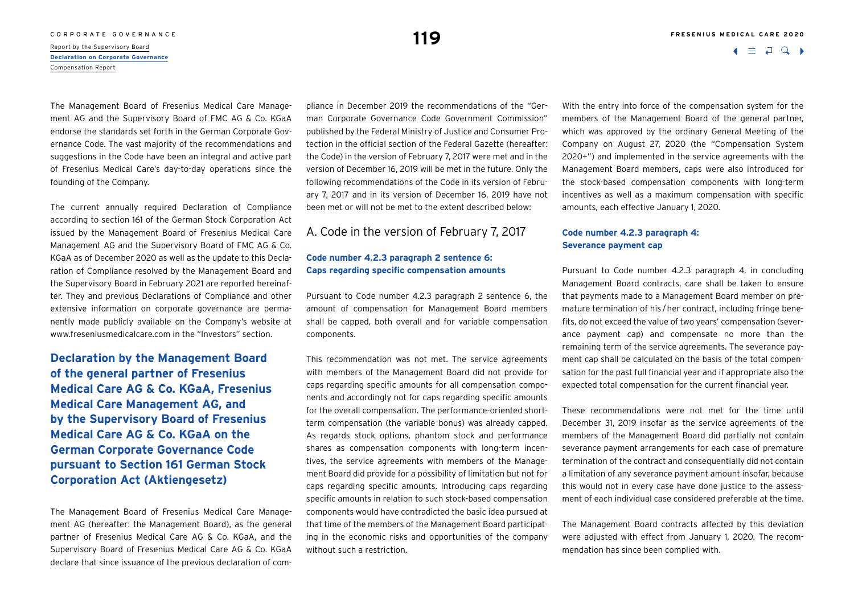### CORPORATE GOVERNANCE **FRESENIUS MEDICAL CARE 2020**

C O R P O R A T E G O V E R N A N C E **1199**<br>Report by the Supervisory Board **119** 

**[Declaration on Corporate Governance](#page-1-0)** Compensation Report

The Management Board of Fresenius Medical Care Management AG and the Supervisory Board of FMC AG & Co. KGaA endorse the standards set forth in the German Corporate Governance Code. The vast majority of the recommendations and suggestions in the Code have been an integral and active part of Fresenius Medical Care's day-to-day operations since the founding of the Company.

The current annually required Declaration of Compliance according to section 161 of the German Stock Corporation Act issued by the Management Board of Fresenius Medical Care Management AG and the Supervisory Board of FMC AG & Co. KGaA as of December 2020 as well as the update to this Declaration of Compliance resolved by the Management Board and the Supervisory Board in February 2021 are reported hereinafter. They and previous Declarations of Compliance and other extensive information on corporate governance are permanently made publicly available on the Company's website at [www.freseniusmedicalcare.com](http://www.freseniusmedicalcare.com) in the "Investors" section.

**Declaration by the Management Board of the general partner of Fresenius Medical Care AG & Co. KGaA, Fresenius Medical Care Management AG, and by the Supervisory Board of Fresenius Medical Care AG & Co. KGaA on the German Corporate Governance Code pursuant to Section 161 German Stock Corporation Act (Aktiengesetz)**

The Management Board of Fresenius Medical Care Management AG (hereafter: the Management Board), as the general partner of Fresenius Medical Care AG & Co. KGaA, and the Supervisory Board of Fresenius Medical Care AG & Co. KGaA declare that since issuance of the previous declaration of compliance in December 2019 the recommendations of the "German Corporate Governance Code Government Commission" published by the Federal Ministry of Justice and Consumer Protection in the official section of the Federal Gazette (hereafter: the Code) in the version of February 7, 2017 were met and in the version of December 16, 2019 will be met in the future. Only the following recommendations of the Code in its version of February 7, 2017 and in its version of December 16, 2019 have not been met or will not be met to the extent described below:

A. Code in the version of February 7, 2017

### **Code number 4.2.3 paragraph 2 sentence 6: Caps regarding specific compensation amounts**

Pursuant to Code number 4.2.3 paragraph 2 sentence 6, the amount of compensation for Management Board members shall be capped, both overall and for variable compensation components.

This recommendation was not met. The service agreements with members of the Management Board did not provide for caps regarding specific amounts for all compensation components and accordingly not for caps regarding specific amounts for the overall compensation. The performance-oriented shortterm compensation (the variable bonus) was already capped. As regards stock options, phantom stock and performance shares as compensation components with long-term incentives, the service agreements with members of the Management Board did provide for a possibility of limitation but not for caps regarding specific amounts. Introducing caps regarding specific amounts in relation to such stock-based compensation components would have contradicted the basic idea pursued at that time of the members of the Management Board participating in the economic risks and opportunities of the company without such a restriction.

With the entry into force of the compensation system for the members of the Management Board of the general partner, which was approved by the ordinary General Meeting of the Company on August 27, 2020 (the "Compensation System 2020+") and implemented in the service agreements with the Management Board members, caps were also introduced for the stock-based compensation components with long-term incentives as well as a maximum compensation with specific amounts, each effective January 1, 2020.

### **Code number 4.2.3 paragraph 4: Severance payment cap**

Pursuant to Code number 4.2.3 paragraph 4, in concluding Management Board contracts, care shall be taken to ensure that payments made to a Management Board member on premature termination of his /her contract, including fringe benefits, do not exceed the value of two years' compensation (severance payment cap) and compensate no more than the remaining term of the service agreements. The severance payment cap shall be calculated on the basis of the total compensation for the past full financial year and if appropriate also the expected total compensation for the current financial year.

These recommendations were not met for the time until December 31, 2019 insofar as the service agreements of the members of the Management Board did partially not contain severance payment arrangements for each case of premature termination of the contract and consequentially did not contain a limitation of any severance payment amount insofar, because this would not in every case have done justice to the assessment of each individual case considered preferable at the time.

The Management Board contracts affected by this deviation were adjusted with effect from January 1, 2020. The recommendation has since been complied with.

 $\Box$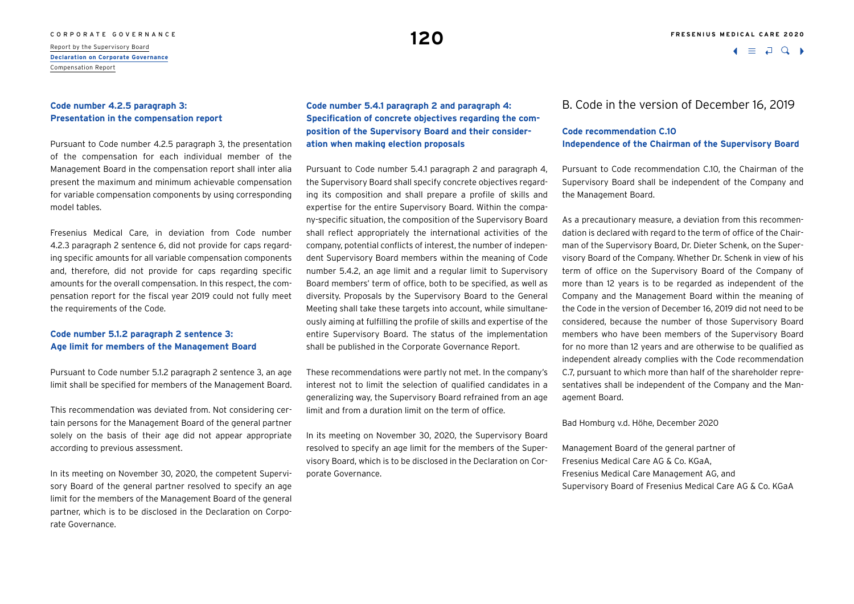# C O R P O R A T E G O V E R N A N C E **120 °C P O REPORT OF A SUPERVISOR OF A REPORT OF A SUPERVISOR OF A REPORT**<br>Report by the Supervisory Board

**[Declaration on Corporate Governance](#page-1-0)** Compensation Report

### **Code number 4.2.5 paragraph 3: Presentation in the compensation report**

Pursuant to Code number 4.2.5 paragraph 3, the presentation of the compensation for each individual member of the Management Board in the compensation report shall inter alia present the maximum and minimum achievable compensation for variable compensation components by using corresponding model tables.

Fresenius Medical Care, in deviation from Code number 4.2.3 paragraph 2 sentence 6, did not provide for caps regarding specific amounts for all variable compensation components and, therefore, did not provide for caps regarding specific amounts for the overall compensation. In this respect, the compensation report for the fiscal year 2019 could not fully meet the requirements of the Code.

#### **Code number 5.1.2 paragraph 2 sentence 3: Age limit for members of the Management Board**

Pursuant to Code number 5.1.2 paragraph 2 sentence 3, an age limit shall be specified for members of the Management Board.

This recommendation was deviated from. Not considering certain persons for the Management Board of the general partner solely on the basis of their age did not appear appropriate according to previous assessment.

In its meeting on November 30, 2020, the competent Supervisory Board of the general partner resolved to specify an age limit for the members of the Management Board of the general partner, which is to be disclosed in the Declaration on Corporate Governance.

**Code number 5.4.1 paragraph 2 and paragraph 4: Specification of concrete objectives regarding the composition of the Supervisory Board and their consideration when making election proposals** 

Pursuant to Code number 5.4.1 paragraph 2 and paragraph 4, the Supervisory Board shall specify concrete objectives regarding its composition and shall prepare a profile of skills and expertise for the entire Supervisory Board. Within the company-specific situation, the composition of the Supervisory Board shall reflect appropriately the international activities of the company, potential conflicts of interest, the number of independent Supervisory Board members within the meaning of Code number 5.4.2, an age limit and a regular limit to Supervisory Board members' term of office, both to be specified, as well as diversity. Proposals by the Supervisory Board to the General Meeting shall take these targets into account, while simultaneously aiming at fulfilling the profile of skills and expertise of the entire Supervisory Board. The status of the implementation shall be published in the Corporate Governance Report.

These recommendations were partly not met. In the company's interest not to limit the selection of qualified candidates in a generalizing way, the Supervisory Board refrained from an age limit and from a duration limit on the term of office.

In its meeting on November 30, 2020, the Supervisory Board resolved to specify an age limit for the members of the Supervisory Board, which is to be disclosed in the Declaration on Corporate Governance.

### B. Code in the version of December 16, 2019

#### **Code recommendation C.10 Independence of the Chairman of the Supervisory Board**

Pursuant to Code recommendation C.10, the Chairman of the Supervisory Board shall be independent of the Company and the Management Board.

As a precautionary measure, a deviation from this recommendation is declared with regard to the term of office of the Chairman of the Supervisory Board, Dr. Dieter Schenk, on the Supervisory Board of the Company. Whether Dr. Schenk in view of his term of office on the Supervisory Board of the Company of more than 12 years is to be regarded as independent of the Company and the Management Board within the meaning of the Code in the version of December 16, 2019 did not need to be considered, because the number of those Supervisory Board members who have been members of the Supervisory Board for no more than 12 years and are otherwise to be qualified as independent already complies with the Code recommendation C.7, pursuant to which more than half of the shareholder representatives shall be independent of the Company and the Management Board.

#### Bad Homburg v.d. Höhe, December 2020

Management Board of the general partner of Fresenius Medical Care AG & Co. KGaA, Fresenius Medical Care Management AG, and Supervisory Board of Fresenius Medical Care AG & Co. KGaA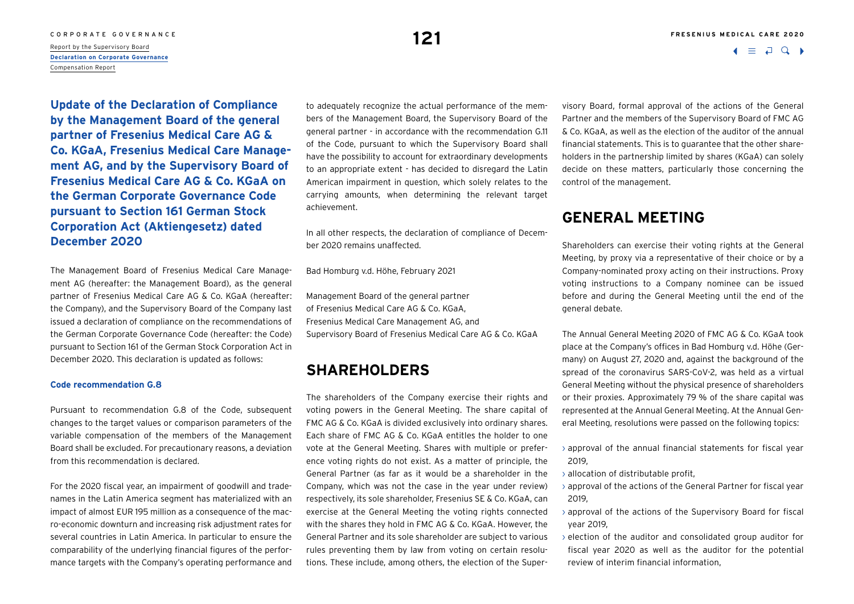## CORPORATE GOVERNANCE **FRESENIUS MEDICAL CARE 2020 121**

Report by the Supervisory Board **[Declaration on Corporate Governance](#page-1-0)** Compensation Report

**Update of the Declaration of Compliance by the Management Board of the general partner of Fresenius Medical Care AG & Co. KGaA, Fresenius Medical Care Management AG, and by the Supervisory Board of Fresenius Medical Care AG & Co. KGaA on the German Corporate Governance Code pursuant to Section 161 German Stock Corporation Act (Aktiengesetz) dated December 2020**

The Management Board of Fresenius Medical Care Management AG (hereafter: the Management Board), as the general partner of Fresenius Medical Care AG & Co. KGaA (hereafter: the Company), and the Supervisory Board of the Company last issued a declaration of compliance on the recommendations of the German Corporate Governance Code (hereafter: the Code) pursuant to Section 161 of the German Stock Corporation Act in December 2020. This declaration is updated as follows:

#### **Code recommendation G.8**

Pursuant to recommendation G.8 of the Code, subsequent changes to the target values or comparison parameters of the variable compensation of the members of the Management Board shall be excluded. For precautionary reasons, a deviation from this recommendation is declared.

For the 2020 fiscal year, an impairment of goodwill and tradenames in the Latin America segment has materialized with an impact of almost EUR 195 million as a consequence of the macro-economic downturn and increasing risk adjustment rates for several countries in Latin America. In particular to ensure the comparability of the underlying financial figures of the performance targets with the Company's operating performance and to adequately recognize the actual performance of the members of the Management Board, the Supervisory Board of the general partner - in accordance with the recommendation G.11 of the Code, pursuant to which the Supervisory Board shall have the possibility to account for extraordinary developments to an appropriate extent - has decided to disregard the Latin American impairment in question, which solely relates to the carrying amounts, when determining the relevant target achievement.

In all other respects, the declaration of compliance of December 2020 remains unaffected.

Bad Homburg v.d. Höhe, February 2021

Management Board of the general partner of Fresenius Medical Care AG & Co. KGaA, Fresenius Medical Care Management AG, and Supervisory Board of Fresenius Medical Care AG & Co. KGaA

## **SHAREHOLDERS**

The shareholders of the Company exercise their rights and voting powers in the General Meeting. The share capital of FMC AG & Co. KGaA is divided exclusively into ordinary shares. Each share of FMC AG & Co. KGaA entitles the holder to one vote at the General Meeting. Shares with multiple or preference voting rights do not exist. As a matter of principle, the General Partner (as far as it would be a shareholder in the Company, which was not the case in the year under review) respectively, its sole shareholder, Fresenius SE & Co. KGaA, can exercise at the General Meeting the voting rights connected with the shares they hold in FMC AG & Co. KGaA. However, the General Partner and its sole shareholder are subject to various rules preventing them by law from voting on certain resolutions. These include, among others, the election of the Supervisory Board, formal approval of the actions of the General Partner and the members of the Supervisory Board of FMC AG & Co. KGaA, as well as the election of the auditor of the annual financial statements. This is to guarantee that the other shareholders in the partnership limited by shares (KGaA) can solely decide on these matters, particularly those concerning the control of the management.

## **GENERAL MEETING**

Shareholders can exercise their voting rights at the General Meeting, by proxy via a representative of their choice or by a Company-nominated proxy acting on their instructions. Proxy voting instructions to a Company nominee can be issued before and during the General Meeting until the end of the general debate.

The Annual General Meeting 2020 of FMC AG & Co. KGaA took place at the Company's offices in Bad Homburg v.d. Höhe (Germany) on August 27, 2020 and, against the background of the spread of the coronavirus SARS-CoV-2, was held as a virtual General Meeting without the physical presence of shareholders or their proxies. Approximately 79 % of the share capital was represented at the Annual General Meeting. At the Annual General Meeting, resolutions were passed on the following topics:

- $\rightarrow$  approval of the annual financial statements for fiscal year 2019,
- › allocation of distributable profit,
- › approval of the actions of the General Partner for fiscal year 2019,
- › approval of the actions of the Supervisory Board for fiscal year 2019,
- $\rightarrow$  election of the auditor and consolidated group auditor for fiscal year 2020 as well as the auditor for the potential review of interim financial information,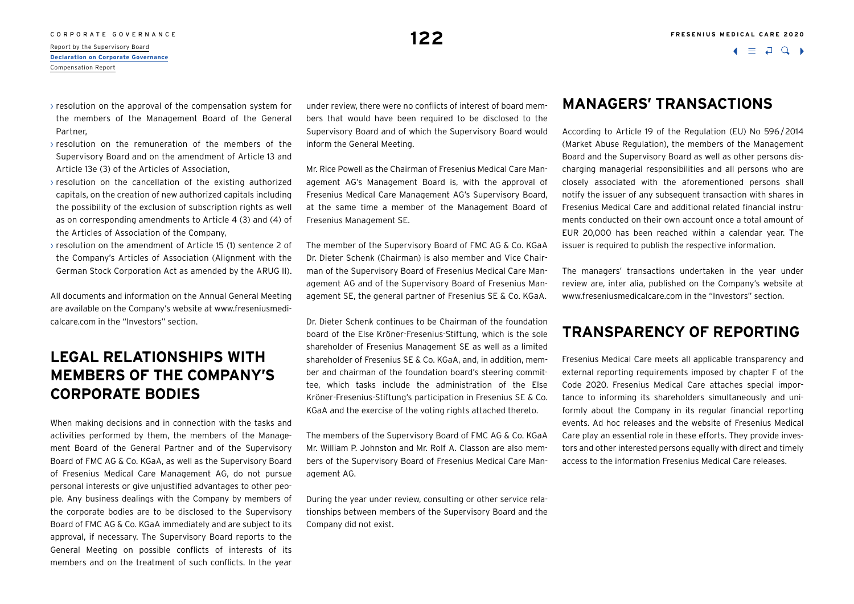$\Box$ 

- $\rightarrow$  resolution on the approval of the compensation system for the members of the Management Board of the General Partner,
- $\rightarrow$  resolution on the remuneration of the members of the Supervisory Board and on the amendment of Article 13 and Article 13e (3) of the Articles of Association,
- $\rightarrow$  resolution on the cancellation of the existing authorized capitals, on the creation of new authorized capitals including the possibility of the exclusion of subscription rights as well as on corresponding amendments to Article 4 (3) and (4) of the Articles of Association of the Company,
- › resolution on the amendment of Article 15 (1) sentence 2 of the Company's Articles of Association (Alignment with the German Stock Corporation Act as amended by the ARUG II).

All documents and information on the Annual General Meeting are available on the Company's website at [www.freseniusmedi](http://www.freseniusmedicalcare.com)[calcare.com](http://www.freseniusmedicalcare.com) in the "Investors" section.

## **LEGAL RELATIONSHIPS WITH MEMBERS OF THE COMPANY'S CORPORATE BODIES**

When making decisions and in connection with the tasks and activities performed by them, the members of the Management Board of the General Partner and of the Supervisory Board of FMC AG & Co. KGaA, as well as the Supervisory Board of Fresenius Medical Care Management AG, do not pursue personal interests or give unjustified advantages to other people. Any business dealings with the Company by members of the corporate bodies are to be disclosed to the Supervisory Board of FMC AG & Co. KGaA immediately and are subject to its approval, if necessary. The Supervisory Board reports to the General Meeting on possible conflicts of interests of its members and on the treatment of such conflicts. In the year

under review, there were no conflicts of interest of board members that would have been required to be disclosed to the Supervisory Board and of which the Supervisory Board would inform the General Meeting.

Mr. Rice Powell as the Chairman of Fresenius Medical Care Management AG's Management Board is, with the approval of Fresenius Medical Care Management AG's Supervisory Board, at the same time a member of the Management Board of Fresenius Management SE.

The member of the Supervisory Board of FMC AG & Co. KGaA Dr. Dieter Schenk (Chairman) is also member and Vice Chairman of the Supervisory Board of Fresenius Medical Care Management AG and of the Supervisory Board of Fresenius Management SE, the general partner of Fresenius SE & Co. KGaA.

Dr. Dieter Schenk continues to be Chairman of the foundation board of the Else Kröner-Fresenius-Stiftung, which is the sole shareholder of Fresenius Management SE as well as a limited shareholder of Fresenius SE & Co. KGaA, and, in addition, member and chairman of the foundation board's steering committee, which tasks include the administration of the Else Kröner-Fresenius-Stiftung's participation in Fresenius SE & Co. KGaA and the exercise of the voting rights attached thereto.

The members of the Supervisory Board of FMC AG & Co. KGaA Mr. William P. Johnston and Mr. Rolf A. Classon are also members of the Supervisory Board of Fresenius Medical Care Management AG.

During the year under review, consulting or other service relationships between members of the Supervisory Board and the Company did not exist.

## **MANAGERS' TRANSACTIONS**

According to Article 19 of the Regulation (EU) No 596/2014 (Market Abuse Regulation), the members of the Management Board and the Supervisory Board as well as other persons discharging managerial responsibilities and all persons who are closely associated with the aforementioned persons shall notify the issuer of any subsequent transaction with shares in Fresenius Medical Care and additional related financial instruments conducted on their own account once a total amount of EUR 20,000 has been reached within a calendar year. The issuer is required to publish the respective information.

The managers' transactions undertaken in the year under review are, inter alia, published on the Company's website at [www.freseniusmedicalcare.com](http://www.freseniusmedicalcare.com) in the "Investors" section.

## **TRANSPARENCY OF REPORTING**

Fresenius Medical Care meets all applicable transparency and external reporting requirements imposed by chapter F of the Code 2020. Fresenius Medical Care attaches special importance to informing its shareholders simultaneously and uniformly about the Company in its regular financial reporting events. Ad hoc releases and the website of Fresenius Medical Care play an essential role in these efforts. They provide investors and other interested persons equally with direct and timely access to the information Fresenius Medical Care releases.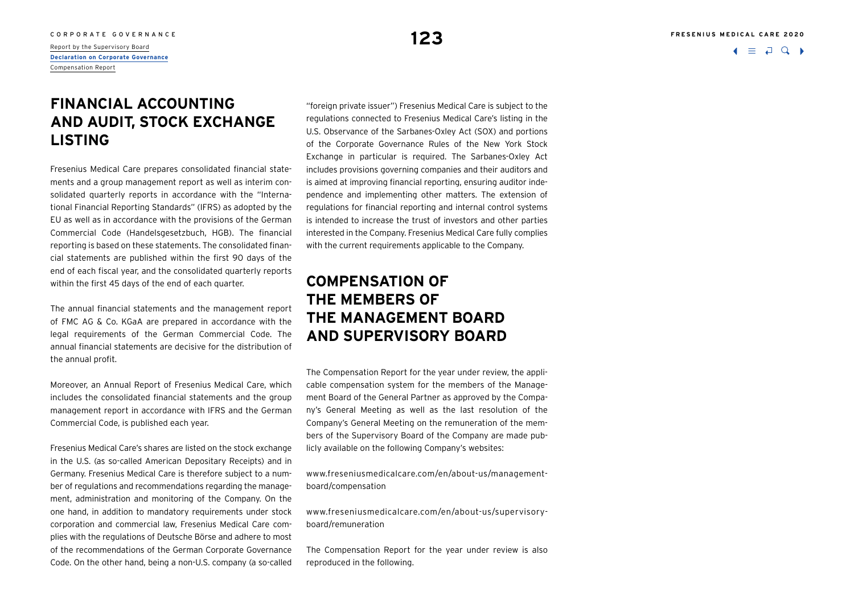### CORPORATE GOVERNANCE **FRESENIUS MEDICAL CARE 2020**

 $\Box$ 

**[Declaration on Corporate Governance](#page-1-0)** Compensation Report

## **FINANCIAL ACCOUNTING AND AUDIT, STOCK EXCHANGE LISTING**

Fresenius Medical Care prepares consolidated financial statements and a group management report as well as interim consolidated quarterly reports in accordance with the "International Financial Reporting Standards" (IFRS) as adopted by the EU as well as in accordance with the provisions of the German Commercial Code (Handelsgesetzbuch, HGB). The financial reporting is based on these statements. The consolidated financial statements are published within the first 90 days of the end of each fiscal year, and the consolidated quarterly reports within the first 45 days of the end of each quarter.

The annual financial statements and the management report of FMC AG & Co. KGaA are prepared in accordance with the legal requirements of the German Commercial Code. The annual financial statements are decisive for the distribution of the annual profit.

Moreover, an Annual Report of Fresenius Medical Care, which includes the consolidated financial statements and the group management report in accordance with IFRS and the German Commercial Code, is published each year.

Fresenius Medical Care's shares are listed on the stock exchange in the U.S. (as so-called American Depositary Receipts) and in Germany. Fresenius Medical Care is therefore subject to a number of regulations and recommendations regarding the management, administration and monitoring of the Company. On the one hand, in addition to mandatory requirements under stock corporation and commercial law, Fresenius Medical Care complies with the regulations of Deutsche Börse and adhere to most of the recommendations of the German Corporate Governance Code. On the other hand, being a non-U.S. company (a so-called

"foreign private issuer") Fresenius Medical Care is subject to the regulations connected to Fresenius Medical Care's listing in the U.S. Observance of the Sarbanes-Oxley Act (SOX) and portions of the Corporate Governance Rules of the New York Stock Exchange in particular is required. The Sarbanes-Oxley Act includes provisions governing companies and their auditors and is aimed at improving financial reporting, ensuring auditor independence and implementing other matters. The extension of regulations for financial reporting and internal control systems is intended to increase the trust of investors and other parties interested in the Company. Fresenius Medical Care fully complies with the current requirements applicable to the Company.

## **COMPENSATION OF THE MEMBERS OF THE MANAGEMENT BOARD AND SUPERVISORY BOARD**

The Compensation Report for the year under review, the applicable compensation system for the members of the Management Board of the General Partner as approved by the Company's General Meeting as well as the last resolution of the Company's General Meeting on the remuneration of the members of the Supervisory Board of the Company are made publicly available on the following Company's websites:

[www.freseniusmedicalcare.com/en/about-us/management](http://www.freseniusmedicalcare.com/en/about-us/management--board/compensation)[board/compensation](http://www.freseniusmedicalcare.com/en/about-us/management--board/compensation)

[www.freseniusmedicalcare.com/en/about-us/supervisory](http://www.freseniusmedicalcare.com/en/about-us/supervisory--board/remuneration)[board/remuneration](http://www.freseniusmedicalcare.com/en/about-us/supervisory--board/remuneration)

The Compensation Report for the year under review is also reproduced in the following.